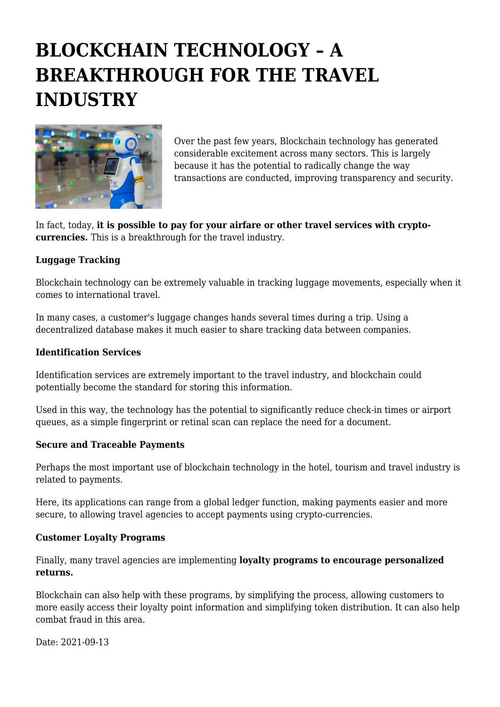# **BLOCKCHAIN TECHNOLOGY – A BREAKTHROUGH FOR THE TRAVEL INDUSTRY**



Over the past few years, Blockchain technology has generated considerable excitement across many sectors. This is largely because it has the potential to radically change the way transactions are conducted, improving transparency and security.

In fact, today, **it is possible to pay for your airfare or other travel services with cryptocurrencies.** This is a breakthrough for the travel industry.

## **Luggage Tracking**

Blockchain technology can be extremely valuable in tracking luggage movements, especially when it comes to international travel.

In many cases, a customer's luggage changes hands several times during a trip. Using a decentralized database makes it much easier to share tracking data between companies.

### **Identification Services**

Identification services are extremely important to the travel industry, and blockchain could potentially become the standard for storing this information.

Used in this way, the technology has the potential to significantly reduce check-in times or airport queues, as a simple fingerprint or retinal scan can replace the need for a document.

### **Secure and Traceable Payments**

Perhaps the most important use of blockchain technology in the hotel, tourism and travel industry is related to payments.

Here, its applications can range from a global ledger function, making payments easier and more secure, to allowing travel agencies to accept payments using crypto-currencies.

#### **Customer Loyalty Programs**

Finally, many travel agencies are implementing **loyalty programs to encourage personalized returns.**

Blockchain can also help with these programs, by simplifying the process, allowing customers to more easily access their loyalty point information and simplifying token distribution. It can also help combat fraud in this area.

Date: 2021-09-13